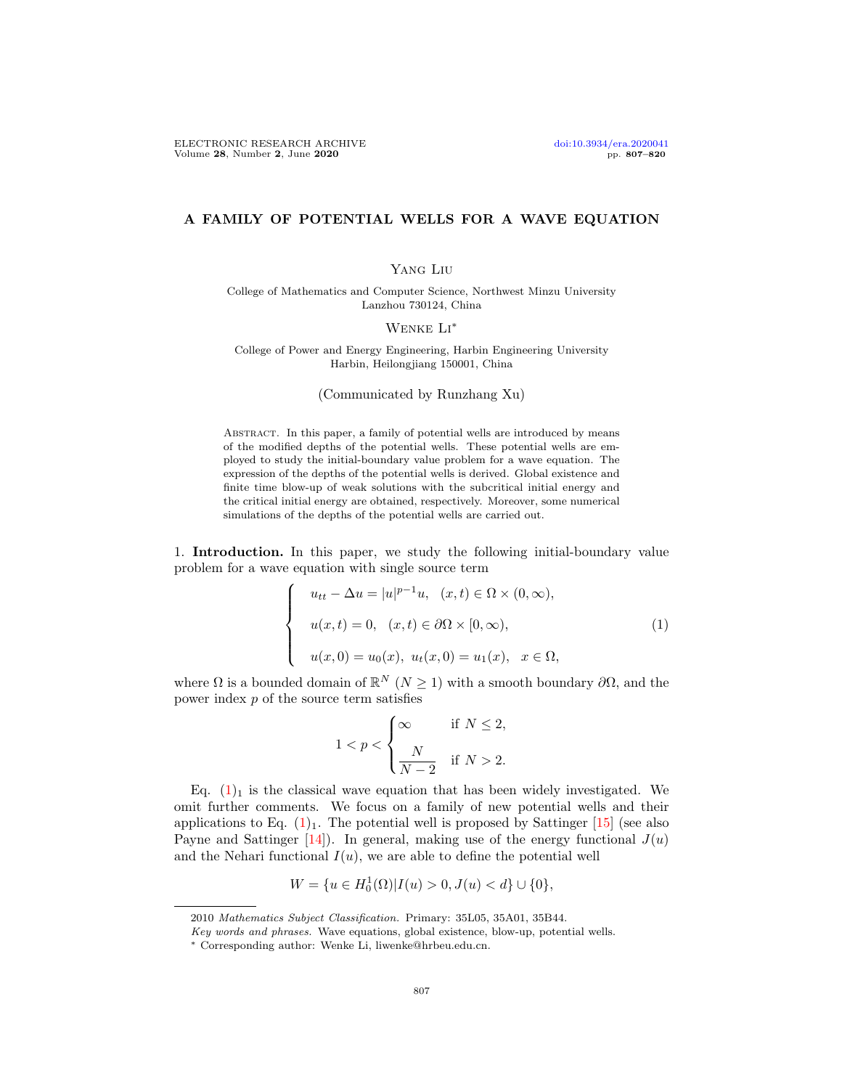## A FAMILY OF POTENTIAL WELLS FOR A WAVE EQUATION

### Yang Liu

College of Mathematics and Computer Science, Northwest Minzu University Lanzhou 730124, China

### Wenke Li∗

College of Power and Energy Engineering, Harbin Engineering University Harbin, Heilongjiang 150001, China

(Communicated by Runzhang Xu)

ABSTRACT. In this paper, a family of potential wells are introduced by means of the modified depths of the potential wells. These potential wells are employed to study the initial-boundary value problem for a wave equation. The expression of the depths of the potential wells is derived. Global existence and finite time blow-up of weak solutions with the subcritical initial energy and the critical initial energy are obtained, respectively. Moreover, some numerical simulations of the depths of the potential wells are carried out.

1. Introduction. In this paper, we study the following initial-boundary value problem for a wave equation with single source term

<span id="page-0-0"></span>
$$
\begin{cases}\n u_{tt} - \Delta u = |u|^{p-1}u, & (x, t) \in \Omega \times (0, \infty), \\
u(x, t) = 0, & (x, t) \in \partial\Omega \times [0, \infty), \\
u(x, 0) = u_0(x), & u_t(x, 0) = u_1(x), & x \in \Omega,\n\end{cases}
$$
\n(1)

where  $\Omega$  is a bounded domain of  $\mathbb{R}^N$   $(N \geq 1)$  with a smooth boundary  $\partial\Omega$ , and the power index  $p$  of the source term satisfies

$$
1 < p < \begin{cases} \infty & \text{if } N \leq 2, \\ \frac{N}{N-2} & \text{if } N > 2. \end{cases}
$$

Eq.  $(1)_1$  $(1)_1$  is the classical wave equation that has been widely investigated. We omit further comments. We focus on a family of new potential wells and their applications to Eq.  $(1)_1$  $(1)_1$ . The potential well is proposed by Sattinger [\[15\]](#page-12-0) (see also Payne and Sattinger  $[14]$ . In general, making use of the energy functional  $J(u)$ and the Nehari functional  $I(u)$ , we are able to define the potential well

$$
W = \{ u \in H_0^1(\Omega) | I(u) > 0, J(u) < d \} \cup \{ 0 \},\
$$

<sup>2010</sup> Mathematics Subject Classification. Primary: 35L05, 35A01, 35B44.

Key words and phrases. Wave equations, global existence, blow-up, potential wells.

<sup>∗</sup> Corresponding author: Wenke Li, liwenke@hrbeu.edu.cn.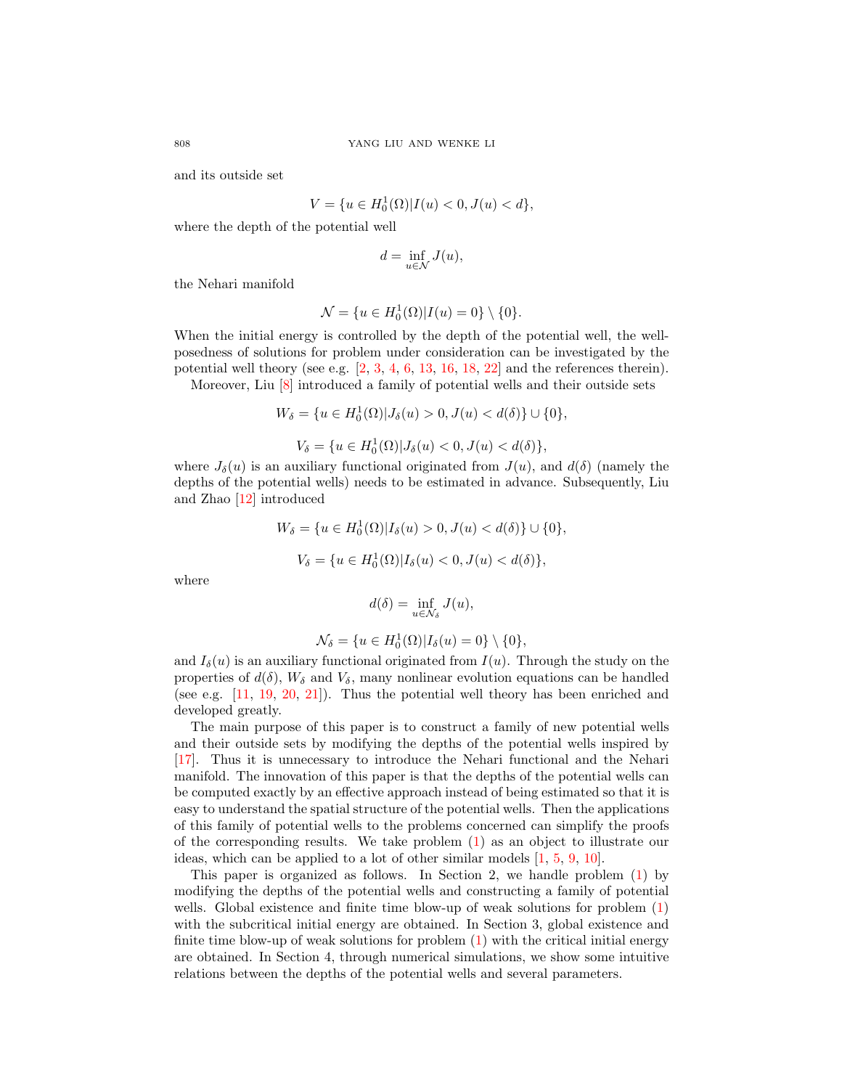and its outside set

$$
V = \{ u \in H_0^1(\Omega) | I(u) < 0, J(u) < d \},
$$

where the depth of the potential well

$$
d=\inf_{u\in \mathcal{N}}J(u),
$$

the Nehari manifold

$$
\mathcal{N} = \{u \in H_0^1(\Omega) | I(u) = 0\} \setminus \{0\}.
$$

When the initial energy is controlled by the depth of the potential well, the wellposedness of solutions for problem under consideration can be investigated by the potential well theory (see e.g.  $[2, 3, 4, 6, 13, 16, 18, 22]$  $[2, 3, 4, 6, 13, 16, 18, 22]$  $[2, 3, 4, 6, 13, 16, 18, 22]$  $[2, 3, 4, 6, 13, 16, 18, 22]$  $[2, 3, 4, 6, 13, 16, 18, 22]$  $[2, 3, 4, 6, 13, 16, 18, 22]$  $[2, 3, 4, 6, 13, 16, 18, 22]$  $[2, 3, 4, 6, 13, 16, 18, 22]$  $[2, 3, 4, 6, 13, 16, 18, 22]$  $[2, 3, 4, 6, 13, 16, 18, 22]$  $[2, 3, 4, 6, 13, 16, 18, 22]$  $[2, 3, 4, 6, 13, 16, 18, 22]$  $[2, 3, 4, 6, 13, 16, 18, 22]$  $[2, 3, 4, 6, 13, 16, 18, 22]$  $[2, 3, 4, 6, 13, 16, 18, 22]$  and the references therein).

Moreover, Liu  $[8]$  introduced a family of potential wells and their outside sets

$$
W_{\delta} = \{ u \in H_0^1(\Omega) | J_{\delta}(u) > 0, J(u) < d(\delta) \} \cup \{ 0 \},
$$
  

$$
V_{\delta} = \{ u \in H_0^1(\Omega) | J_{\delta}(u) < 0, J(u) < d(\delta) \},
$$

where  $J_{\delta}(u)$  is an auxiliary functional originated from  $J(u)$ , and  $d(\delta)$  (namely the depths of the potential wells) needs to be estimated in advance. Subsequently, Liu and Zhao [\[12\]](#page-12-7) introduced

$$
W_{\delta} = \{ u \in H_0^1(\Omega) | I_{\delta}(u) > 0, J(u) < d(\delta) \} \cup \{ 0 \},
$$
  

$$
V_{\delta} = \{ u \in H_0^1(\Omega) | I_{\delta}(u) < 0, J(u) < d(\delta) \},
$$

where

$$
d(\delta) = \inf_{u \in \mathcal{N}_{\delta}} J(u),
$$

$$
\mathcal{N}_{\delta} = \{ u \in H_0^1(\Omega) | I_{\delta}(u) = 0 \} \setminus \{0\},
$$

and  $I_{\delta}(u)$  is an auxiliary functional originated from  $I(u)$ . Through the study on the properties of  $d(\delta)$ ,  $W_{\delta}$  and  $V_{\delta}$ , many nonlinear evolution equations can be handled (see e.g. [\[11,](#page-12-8) [19,](#page-12-9) [20,](#page-12-10) [21\]](#page-12-11)). Thus the potential well theory has been enriched and developed greatly.

The main purpose of this paper is to construct a family of new potential wells and their outside sets by modifying the depths of the potential wells inspired by [\[17\]](#page-12-12). Thus it is unnecessary to introduce the Nehari functional and the Nehari manifold. The innovation of this paper is that the depths of the potential wells can be computed exactly by an effective approach instead of being estimated so that it is easy to understand the spatial structure of the potential wells. Then the applications of this family of potential wells to the problems concerned can simplify the proofs of the corresponding results. We take problem [\(1\)](#page-0-0) as an object to illustrate our ideas, which can be applied to a lot of other similar models [\[1,](#page-10-3) [5,](#page-11-0) [9,](#page-12-13) [10\]](#page-12-14).

This paper is organized as follows. In Section 2, we handle problem [\(1\)](#page-0-0) by modifying the depths of the potential wells and constructing a family of potential wells. Global existence and finite time blow-up of weak solutions for problem [\(1\)](#page-0-0) with the subcritical initial energy are obtained. In Section 3, global existence and finite time blow-up of weak solutions for problem  $(1)$  with the critical initial energy are obtained. In Section 4, through numerical simulations, we show some intuitive relations between the depths of the potential wells and several parameters.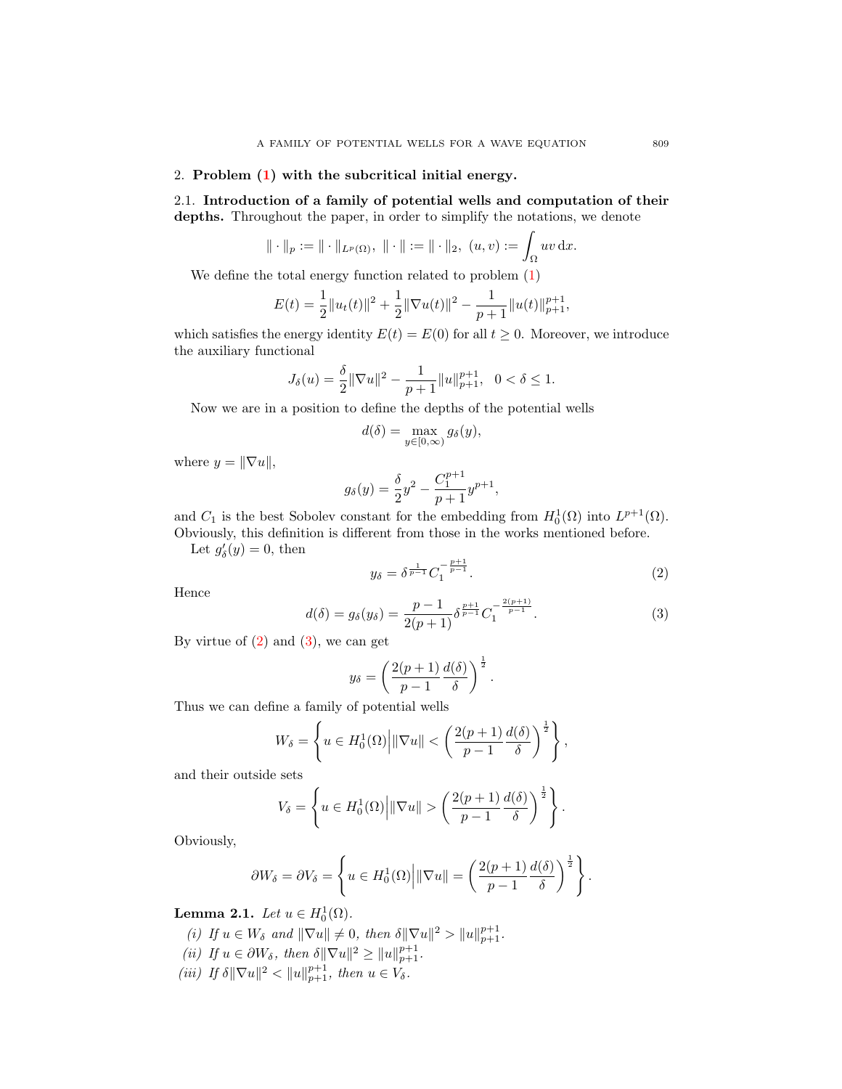### 2. Problem [\(1\)](#page-0-0) with the subcritical initial energy.

2.1. Introduction of a family of potential wells and computation of their depths. Throughout the paper, in order to simplify the notations, we denote

$$
\|\cdot\|_p := \|\cdot\|_{L^p(\Omega)}, \ \|\cdot\| := \|\cdot\|_2, \ (u,v) := \int_{\Omega} uv \, \mathrm{d}x.
$$

We define the total energy function related to problem [\(1\)](#page-0-0)

$$
E(t) = \frac{1}{2} ||u_t(t)||^2 + \frac{1}{2} ||\nabla u(t)||^2 - \frac{1}{p+1} ||u(t)||_{p+1}^{p+1},
$$

which satisfies the energy identity  $E(t) = E(0)$  for all  $t \ge 0$ . Moreover, we introduce the auxiliary functional

$$
J_{\delta}(u) = \frac{\delta}{2} \|\nabla u\|^2 - \frac{1}{p+1} \|u\|_{p+1}^{p+1}, \ \ 0 < \delta \le 1.
$$

Now we are in a position to define the depths of the potential wells

$$
d(\delta) = \max_{y \in [0,\infty)} g_{\delta}(y),
$$

where  $y = ||\nabla u||$ ,

$$
g_{\delta}(y) = \frac{\delta}{2}y^2 - \frac{C_1^{p+1}}{p+1}y^{p+1},
$$

and  $C_1$  is the best Sobolev constant for the embedding from  $H_0^1(\Omega)$  into  $L^{p+1}(\Omega)$ . Obviously, this definition is different from those in the works mentioned before.

Let  $g'_{\delta}(y) = 0$ , then

<span id="page-2-0"></span>
$$
y_{\delta} = \delta^{\frac{1}{p-1}} C_1^{-\frac{p+1}{p-1}}.
$$
 (2)

Hence

<span id="page-2-1"></span>
$$
d(\delta) = g_{\delta}(y_{\delta}) = \frac{p-1}{2(p+1)} \delta^{\frac{p+1}{p-1}} C_1^{-\frac{2(p+1)}{p-1}}.
$$
 (3)

By virtue of  $(2)$  and  $(3)$ , we can get

$$
y_{\delta} = \left(\frac{2(p+1)}{p-1}\frac{d(\delta)}{\delta}\right)^{\frac{1}{2}}.
$$

Thus we can define a family of potential wells

$$
W_{\delta} = \left\{ u \in H_0^1(\Omega) \middle| \|\nabla u\| < \left( \frac{2(p+1)}{p-1} \frac{d(\delta)}{\delta} \right)^{\frac{1}{2}} \right\},\,
$$

and their outside sets

$$
V_{\delta} = \left\{ u \in H_0^1(\Omega) \middle| \|\nabla u\| > \left(\frac{2(p+1)}{p-1} \frac{d(\delta)}{\delta}\right)^{\frac{1}{2}} \right\}.
$$

Obviously,

$$
\partial W_{\delta} = \partial V_{\delta} = \left\{ u \in H_0^1(\Omega) \middle| ||\nabla u|| = \left( \frac{2(p+1)}{p-1} \frac{d(\delta)}{\delta} \right)^{\frac{1}{2}} \right\}.
$$

<span id="page-2-2"></span>**Lemma 2.1.** Let  $u \in H_0^1(\Omega)$ .

- (i) If  $u \in W_{\delta}$  and  $\|\nabla u\| \neq 0$ , then  $\delta \|\nabla u\|^2 > \|u\|_{p+1}^{p+1}$ .
- (ii) If  $u \in \partial W_\delta$ , then  $\delta \|\nabla u\|^2 \geq \|u\|_{p+1}^{p+1}$ .
- (iii) If  $\delta \|\nabla u\|^2 < \|u\|_{p+1}^{p+1}$ , then  $u \in V_{\delta}$ .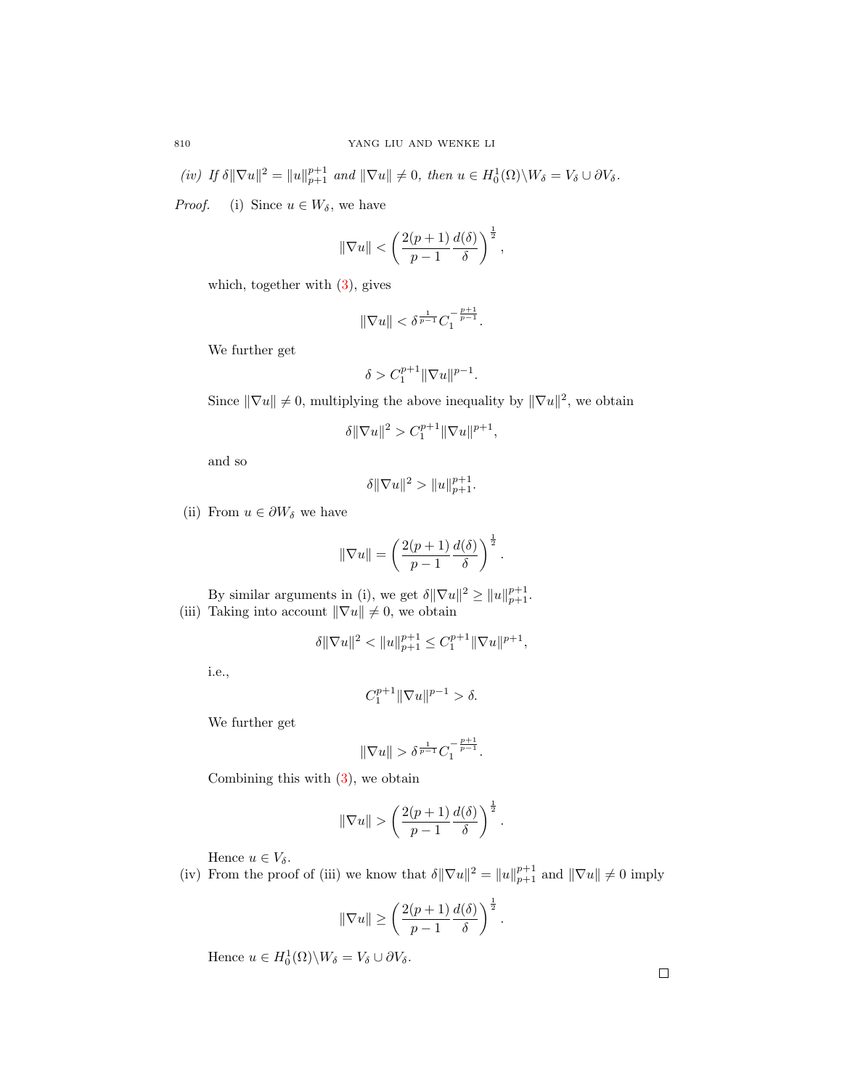$(iv)$  If  $\delta \|\nabla u\|^2 = \|u\|_{p+1}^{p+1}$  and  $\|\nabla u\| \neq 0$ , then  $u \in H_0^1(\Omega) \backslash W_\delta = V_\delta \cup \partial V_\delta$ .

*Proof.* (i) Since  $u \in W_{\delta}$ , we have

$$
\|\nabla u\| < \left(\frac{2(p+1)}{p-1}\frac{d(\delta)}{\delta}\right)^{\frac{1}{2}},
$$

which, together with  $(3)$ , gives

$$
\|\nabla u\| < \delta^{\frac{1}{p-1}}C_1^{-\frac{p+1}{p-1}}.
$$

We further get

$$
\delta > C_1^{p+1} \|\nabla u\|^{p-1}.
$$

Since  $\|\nabla u\| \neq 0$ , multiplying the above inequality by  $\|\nabla u\|^2$ , we obtain

$$
\delta \|\nabla u\|^2>C_1^{p+1}\|\nabla u\|^{p+1},
$$

and so

$$
\delta \|\nabla u\|^2 > \|u\|_{p+1}^{p+1}.
$$

(ii) From  $u \in \partial W_{\delta}$  we have

$$
\|\nabla u\| = \left(\frac{2(p+1)}{p-1}\frac{d(\delta)}{\delta}\right)^{\frac{1}{2}}.
$$

By similar arguments in (i), we get  $\delta \|\nabla u\|^2 \geq \|u\|_{p+1}^{p+1}$ . (iii) Taking into account  $\|\nabla u\| \neq 0$ , we obtain

$$
\delta \|\nabla u\|^2 < \|u\|_{p+1}^{p+1} \le C_1^{p+1} \|\nabla u\|^{p+1},
$$

i.e.,

$$
C_1^{p+1} \|\nabla u\|^{p-1} > \delta.
$$

We further get

$$
\|\nabla u\| > \delta^{\frac{1}{p-1}} C_1^{-\frac{p+1}{p-1}}.
$$

Combining this with  $(3)$ , we obtain

$$
\|\nabla u\| \ge \left(\frac{2(p+1)}{p-1}\frac{d(\delta)}{\delta}\right)^{\frac{1}{2}}.
$$

Hence  $u \in V_{\delta}$ .

(iv) From the proof of (iii) we know that  $\delta \|\nabla u\|^2 = \|u\|_{p+1}^{p+1}$  and  $\|\nabla u\| \neq 0$  imply

$$
\|\nabla u\| \ge \left(\frac{2(p+1)}{p-1}\frac{d(\delta)}{\delta}\right)^{\frac{1}{2}}.
$$

Hence  $u \in H_0^1(\Omega) \backslash W_\delta = V_\delta \cup \partial V_\delta$ .

 $\Box$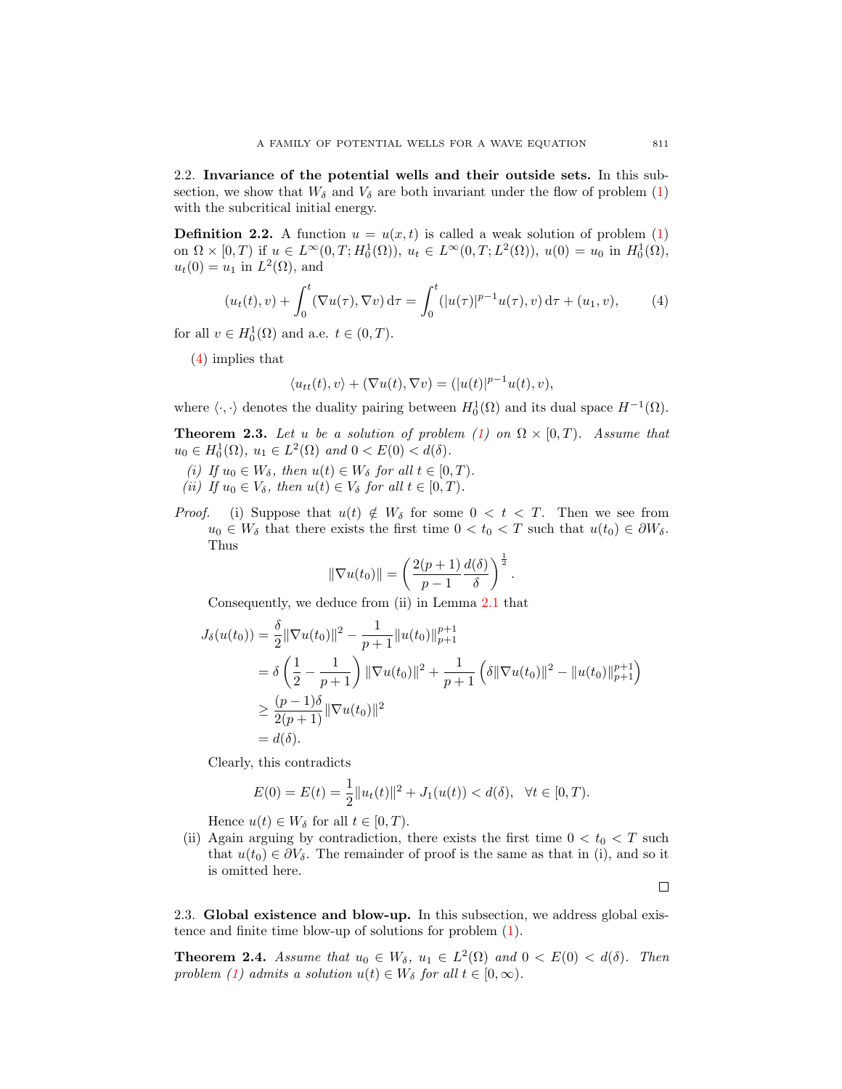2.2. Invariance of the potential wells and their outside sets. In this subsection, we show that  $W_{\delta}$  and  $V_{\delta}$  are both invariant under the flow of problem [\(1\)](#page-0-0) with the subcritical initial energy.

<span id="page-4-2"></span>**Definition 2.2.** A function  $u = u(x, t)$  is called a weak solution of problem [\(1\)](#page-0-0) on  $\Omega \times [0, T)$  if  $u \in L^{\infty}(0, T; H_0^1(\Omega)), u_t \in L^{\infty}(0, T; L^2(\Omega)), u(0) = u_0$  in  $H_0^1(\Omega)$ ,  $u_t(0) = u_1$  in  $L^2(\Omega)$ , and

<span id="page-4-0"></span>
$$
(u_t(t), v) + \int_0^t (\nabla u(\tau), \nabla v) d\tau = \int_0^t (|u(\tau)|^{p-1} u(\tau), v) d\tau + (u_1, v), \tag{4}
$$

for all  $v \in H_0^1(\Omega)$  and a.e.  $t \in (0, T)$ .

[\(4\)](#page-4-0) implies that

$$
\langle u_{tt}(t), v \rangle + (\nabla u(t), \nabla v) = (|u(t)|^{p-1}u(t), v),
$$

where  $\langle \cdot, \cdot \rangle$  denotes the duality pairing between  $H_0^1(\Omega)$  and its dual space  $H^{-1}(\Omega)$ .

<span id="page-4-1"></span>**Theorem 2.3.** Let u be a solution of problem [\(1\)](#page-0-0) on  $\Omega \times [0, T)$ . Assume that  $u_0 \in H_0^1(\Omega)$ ,  $u_1 \in L^2(\Omega)$  and  $0 < E(0) < d(\delta)$ .

- (i) If  $u_0 \in W_\delta$ , then  $u(t) \in W_\delta$  for all  $t \in [0, T)$ . (ii) If  $u_0 \in V_\delta$ , then  $u(t) \in V_\delta$  for all  $t \in [0, T)$ .
- *Proof.* (i) Suppose that  $u(t) \notin W_\delta$  for some  $0 < t < T$ . Then we see from  $u_0 \in W_\delta$  that there exists the first time  $0 < t_0 < T$  such that  $u(t_0) \in \partial W_\delta$ . Thus

$$
\|\nabla u(t_0)\| = \left(\frac{2(p+1)}{p-1}\frac{d(\delta)}{\delta}\right)^{\frac{1}{2}}.
$$

Consequently, we deduce from (ii) in Lemma [2.1](#page-2-2) that

$$
J_{\delta}(u(t_0)) = \frac{\delta}{2} \|\nabla u(t_0)\|^2 - \frac{1}{p+1} \|u(t_0)\|_{p+1}^{p+1}
$$
  
=  $\delta \left(\frac{1}{2} - \frac{1}{p+1}\right) \|\nabla u(t_0)\|^2 + \frac{1}{p+1} \left(\delta \|\nabla u(t_0)\|^2 - \|u(t_0)\|_{p+1}^{p+1}\right)$   
 $\geq \frac{(p-1)\delta}{2(p+1)} \|\nabla u(t_0)\|^2$   
=  $d(\delta).$ 

Clearly, this contradicts

$$
E(0) = E(t) = \frac{1}{2} ||u_t(t)||^2 + J_1(u(t)) < d(\delta), \ \ \forall t \in [0, T).
$$

Hence  $u(t) \in W_{\delta}$  for all  $t \in [0, T)$ .

(ii) Again arguing by contradiction, there exists the first time  $0 < t_0 < T$  such that  $u(t_0) \in \partial V_\delta$ . The remainder of proof is the same as that in (i), and so it is omitted here.

 $\Box$ 

2.3. Global existence and blow-up. In this subsection, we address global existence and finite time blow-up of solutions for problem [\(1\)](#page-0-0).

<span id="page-4-3"></span>**Theorem 2.4.** Assume that  $u_0 \in W_\delta$ ,  $u_1 \in L^2(\Omega)$  and  $0 < E(0) < d(\delta)$ . Then problem [\(1\)](#page-0-0) admits a solution  $u(t) \in W_\delta$  for all  $t \in [0, \infty)$ .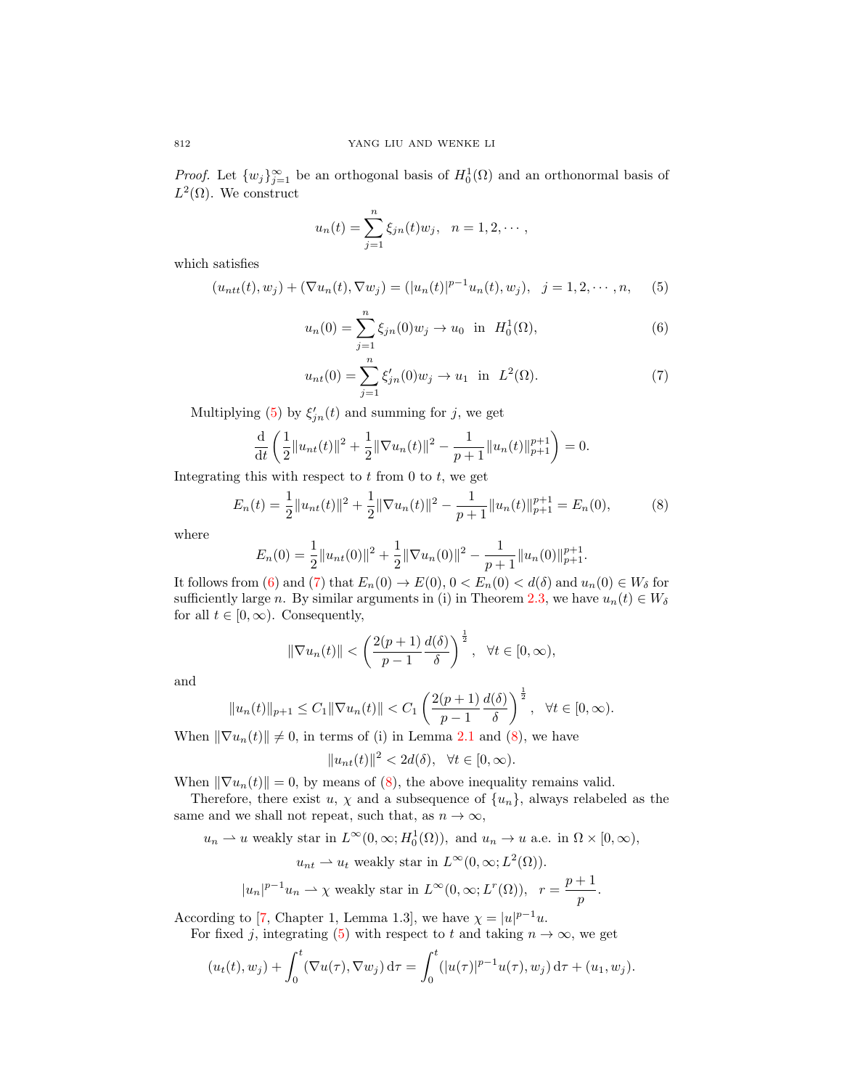*Proof.* Let  $\{w_j\}_{j=1}^{\infty}$  be an orthogonal basis of  $H_0^1(\Omega)$  and an orthonormal basis of  $L^2(\Omega)$ . We construct

$$
u_n(t) = \sum_{j=1}^n \xi_{jn}(t)w_j, \ \ n = 1, 2, \cdots,
$$

which satisfies

<span id="page-5-0"></span>
$$
(u_{ntt}(t), w_j) + (\nabla u_n(t), \nabla w_j) = (|u_n(t)|^{p-1} u_n(t), w_j), \quad j = 1, 2, \cdots, n,
$$
 (5)

<span id="page-5-1"></span>
$$
u_n(0) = \sum_{j=1}^n \xi_{jn}(0)w_j \to u_0 \text{ in } H_0^1(\Omega), \tag{6}
$$

<span id="page-5-2"></span>
$$
u_{nt}(0) = \sum_{j=1}^{n} \xi'_{jn}(0) w_j \to u_1 \text{ in } L^2(\Omega). \tag{7}
$$

Multiplying [\(5\)](#page-5-0) by  $\xi'_{jn}(t)$  and summing for j, we get

$$
\frac{\mathrm{d}}{\mathrm{d}t}\left(\frac{1}{2}\|u_{nt}(t)\|^2 + \frac{1}{2}\|\nabla u_n(t)\|^2 - \frac{1}{p+1}\|u_n(t)\|_{p+1}^{p+1}\right) = 0.
$$

Integrating this with respect to  $t$  from 0 to  $t$ , we get

<span id="page-5-3"></span>
$$
E_n(t) = \frac{1}{2} ||u_{nt}(t)||^2 + \frac{1}{2} ||\nabla u_n(t)||^2 - \frac{1}{p+1} ||u_n(t)||_{p+1}^{p+1} = E_n(0),
$$
 (8)

where

$$
E_n(0) = \frac{1}{2} ||u_{nt}(0)||^2 + \frac{1}{2} ||\nabla u_n(0)||^2 - \frac{1}{p+1} ||u_n(0)||_{p+1}^{p+1}.
$$

It follows from [\(6\)](#page-5-1) and [\(7\)](#page-5-2) that  $E_n(0) \to E(0)$ ,  $0 < E_n(0) < d(\delta)$  and  $u_n(0) \in W_\delta$  for sufficiently large n. By similar arguments in (i) in Theorem [2.3,](#page-4-1) we have  $u_n(t) \in W_\delta$ for all  $t \in [0, \infty)$ . Consequently,

$$
\|\nabla u_n(t)\| < \left(\frac{2(p+1)}{p-1}\frac{d(\delta)}{\delta}\right)^{\frac{1}{2}}, \ \ \forall t \in [0, \infty),
$$

and

$$
||u_n(t)||_{p+1} \le C_1 ||\nabla u_n(t)|| < C_1 \left(\frac{2(p+1)}{p-1} \frac{d(\delta)}{\delta}\right)^{\frac{1}{2}}, \quad \forall t \in [0, \infty).
$$

When  $\|\nabla u_n(t)\| \neq 0$ , in terms of (i) in Lemma [2.1](#page-2-2) and [\(8\)](#page-5-3), we have

 $||u_{nt}(t)||^2 < 2d(\delta), \quad \forall t \in [0, \infty).$ 

When  $\|\nabla u_n(t)\| = 0$ , by means of [\(8\)](#page-5-3), the above inequality remains valid.

Therefore, there exist u,  $\chi$  and a subsequence of  $\{u_n\}$ , always relabeled as the same and we shall not repeat, such that, as  $n \to \infty$ ,

 $u_n \rightharpoonup u$  weakly star in  $L^{\infty}(0, \infty; H_0^1(\Omega))$ , and  $u_n \to u$  a.e. in  $\Omega \times [0, \infty)$ ,  $u_{nt} \rightharpoonup u_t$  weakly star in  $L^{\infty}(0,\infty; L^2(\Omega)).$ 

$$
|u_n|^{p-1}u_n \rightharpoonup \chi
$$
 weakly star in  $L^{\infty}(0, \infty; L^r(\Omega)), r = \frac{p+1}{p}.$ 

According to [\[7,](#page-12-15) Chapter 1, Lemma 1.3], we have  $\chi = |u|^{p-1}u$ .

For fixed j, integrating [\(5\)](#page-5-0) with respect to t and taking  $n \to \infty$ , we get

$$
(u_t(t), w_j) + \int_0^t (\nabla u(\tau), \nabla w_j) d\tau = \int_0^t (|u(\tau)|^{p-1} u(\tau), w_j) d\tau + (u_1, w_j).
$$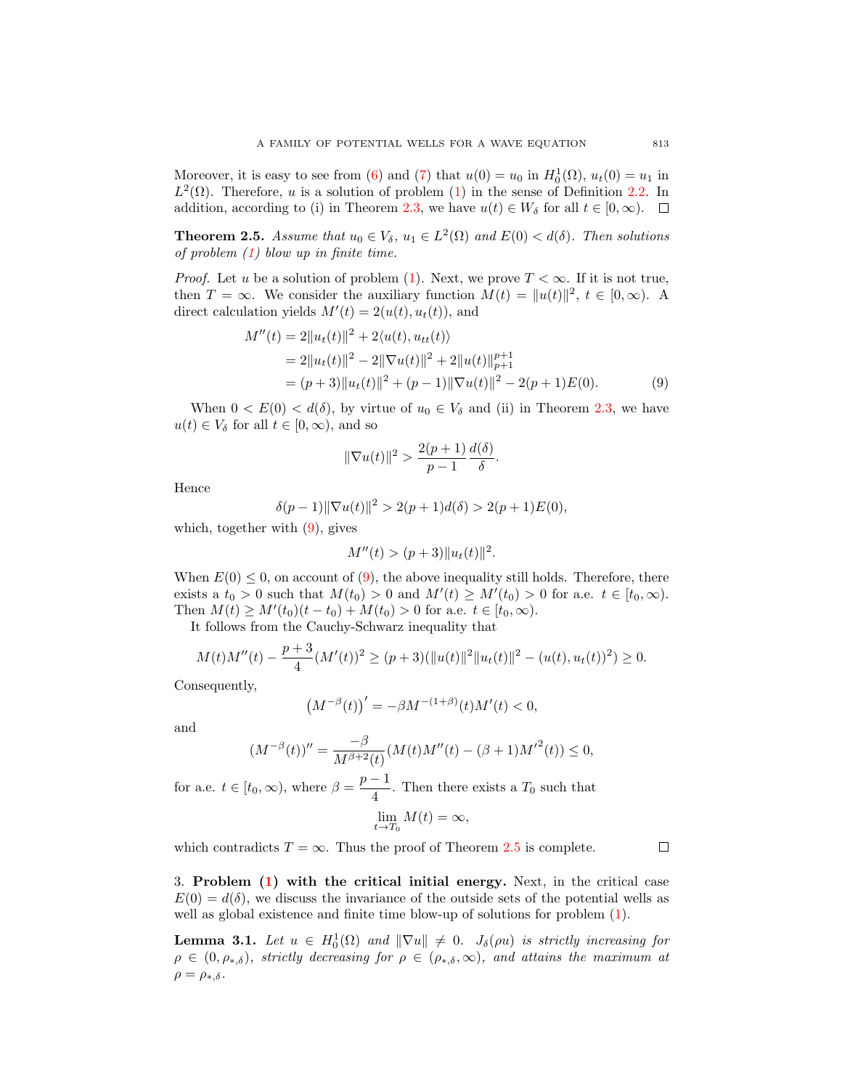Moreover, it is easy to see from [\(6\)](#page-5-1) and [\(7\)](#page-5-2) that  $u(0) = u_0$  in  $H_0^1(\Omega)$ ,  $u_t(0) = u_1$  in  $L^2(\Omega)$ . Therefore, u is a solution of problem [\(1\)](#page-0-0) in the sense of Definition [2.2.](#page-4-2) In addition, according to (i) in Theorem [2.3,](#page-4-1) we have  $u(t) \in W_\delta$  for all  $t \in [0,\infty)$ .

<span id="page-6-1"></span>**Theorem 2.5.** Assume that  $u_0 \in V_\delta$ ,  $u_1 \in L^2(\Omega)$  and  $E(0) < d(\delta)$ . Then solutions of problem [\(1\)](#page-0-0) blow up in finite time.

*Proof.* Let u be a solution of problem [\(1\)](#page-0-0). Next, we prove  $T < \infty$ . If it is not true, then  $T = \infty$ . We consider the auxiliary function  $M(t) = ||u(t)||^2$ ,  $t \in [0, \infty)$ . A direct calculation yields  $M'(t) = 2(u(t), u_t(t))$ , and

$$
M''(t) = 2||u_t(t)||^2 + 2\langle u(t), u_{tt}(t)\rangle
$$
  
= 2||u\_t(t)||^2 - 2||\nabla u(t)||^2 + 2||u(t)||\_{p+1}^{p+1}  
= (p+3)||u\_t(t)||^2 + (p-1)||\nabla u(t)||^2 - 2(p+1)E(0). (9)

When  $0 < E(0) < d(\delta)$ , by virtue of  $u_0 \in V_\delta$  and (ii) in Theorem [2.3,](#page-4-1) we have  $u(t) \in V_{\delta}$  for all  $t \in [0, \infty)$ , and so

<span id="page-6-0"></span>
$$
\|\nabla u(t)\|^2 > \frac{2(p+1)}{p-1}\frac{d(\delta)}{\delta}.
$$

Hence

$$
\delta(p-1)\|\nabla u(t)\|^2 > 2(p+1)d(\delta) > 2(p+1)E(0),
$$

which, together with  $(9)$ , gives

$$
M''(t) > (p+3) \|u_t(t)\|^2.
$$

When  $E(0) \leq 0$ , on account of [\(9\)](#page-6-0), the above inequality still holds. Therefore, there exists a  $t_0 > 0$  such that  $M(t_0) > 0$  and  $M'(t) \geq M'(t_0) > 0$  for a.e.  $t \in [t_0, \infty)$ . Then  $M(t) \geq M'(t_0)(t - t_0) + M(t_0) > 0$  for a.e.  $t \in [t_0, \infty)$ .

It follows from the Cauchy-Schwarz inequality that

$$
M(t)M''(t) - \frac{p+3}{4}(M'(t))^2 \ge (p+3)(\|u(t)\|^2 \|u_t(t)\|^2 - (u(t), u_t(t))^2) \ge 0.
$$

Consequently,

$$
(M^{-\beta}(t))' = -\beta M^{-(1+\beta)}(t)M'(t) < 0,
$$

and

$$
(M^{-\beta}(t))'' = \frac{-\beta}{M^{\beta+2}(t)} (M(t)M''(t) - (\beta+1)M'^2(t)) \le 0,
$$

for a.e.  $t \in [t_0, \infty)$ , where  $\beta = \frac{p-1}{4}$  $\frac{1}{4}$ . Then there exists a  $T_0$  such that  $\lim_{t\to T_0} M(t) = \infty,$ 

which contradicts  $T = \infty$ . Thus the proof of Theorem [2.5](#page-6-1) is complete.

 $\Box$ 

3. Problem [\(1\)](#page-0-0) with the critical initial energy. Next, in the critical case  $E(0) = d(\delta)$ , we discuss the invariance of the outside sets of the potential wells as well as global existence and finite time blow-up of solutions for problem [\(1\)](#page-0-0).

<span id="page-6-2"></span>**Lemma 3.1.** Let  $u \in H_0^1(\Omega)$  and  $\|\nabla u\| \neq 0$ .  $J_\delta(\rho u)$  is strictly increasing for  $\rho \in (0, \rho_{*,\delta})$ , strictly decreasing for  $\rho \in (\rho_{*,\delta}, \infty)$ , and attains the maximum at  $\rho = \rho_{*,\delta}.$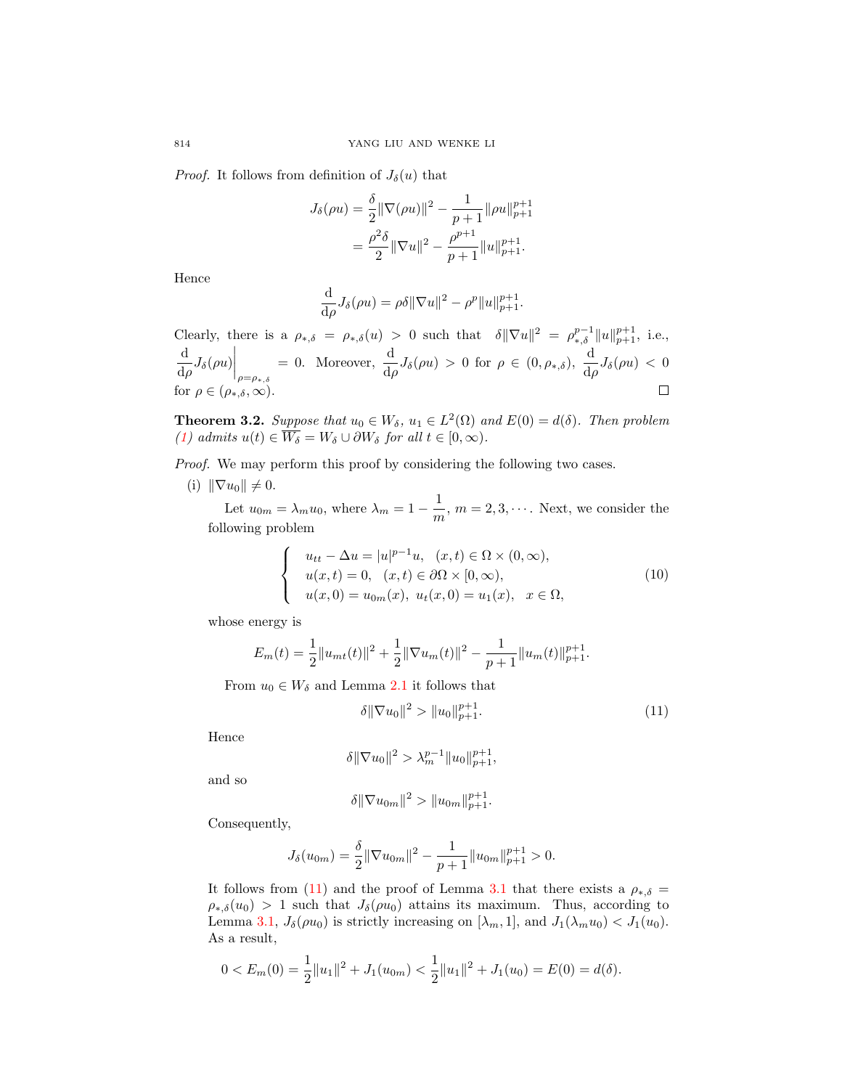*Proof.* It follows from definition of  $J_{\delta}(u)$  that

$$
J_{\delta}(\rho u) = \frac{\delta}{2} ||\nabla(\rho u)||^2 - \frac{1}{p+1} ||\rho u||_{p+1}^{p+1}
$$
  
= 
$$
\frac{\rho^2 \delta}{2} ||\nabla u||^2 - \frac{\rho^{p+1}}{p+1} ||u||_{p+1}^{p+1}.
$$

Hence

$$
\frac{\mathrm{d}}{\mathrm{d}\rho}J_\delta(\rho u) = \rho \delta \|\nabla u\|^2 - \rho^p \|u\|_{p+1}^{p+1}.
$$

Clearly, there is a  $\rho_{*,\delta} = \rho_{*,\delta}(u) > 0$  such that  $\delta \|\nabla u\|^2 = \rho_{*,\delta}^{p-1} \|u\|_{p+1}^{p+1}$ , i.e.,  $\frac{\mathrm{d}}{\mathrm{d}\rho}J_\delta(\rho u)\bigg|_{\rho=\rho_{*,\delta}}$ d = 0. Moreover,  $\frac{d}{d\rho}J_{\delta}(\rho u) > 0$  for  $\rho \in (0, \rho_{*,\delta}), \frac{d}{d\rho}J_{\delta}(\rho u) < 0$ for  $\rho \in (\rho_{*,\delta}, \infty)$ .  $\Box$ 

<span id="page-7-2"></span>**Theorem 3.2.** Suppose that  $u_0 \in W_\delta$ ,  $u_1 \in L^2(\Omega)$  and  $E(0) = d(\delta)$ . Then problem [\(1\)](#page-0-0) admits  $u(t) \in \overline{W_{\delta}} = W_{\delta} \cup \partial W_{\delta}$  for all  $t \in [0, \infty)$ .

Proof. We may perform this proof by considering the following two cases.

(i)  $\|\nabla u_0\| \neq 0.$ 

Let  $u_{0m} = \lambda_m u_0$ , where  $\lambda_m = 1 - \frac{1}{m}$  $\frac{1}{m}$ ,  $m = 2, 3, \cdots$ . Next, we consider the following problem

<span id="page-7-1"></span>
$$
\begin{cases}\n u_{tt} - \Delta u = |u|^{p-1}u, & (x,t) \in \Omega \times (0,\infty), \\
u(x,t) = 0, & (x,t) \in \partial\Omega \times [0,\infty), \\
u(x,0) = u_{0m}(x), & u_t(x,0) = u_1(x), & x \in \Omega,\n\end{cases}
$$
\n(10)

whose energy is

$$
E_m(t) = \frac{1}{2} ||u_{mt}(t)||^2 + \frac{1}{2} ||\nabla u_m(t)||^2 - \frac{1}{p+1} ||u_m(t)||_{p+1}^{p+1}.
$$

From  $u_0 \in W_\delta$  and Lemma [2.1](#page-2-2) it follows that

<span id="page-7-0"></span>
$$
\delta \|\nabla u_0\|^2 > \|u_0\|_{p+1}^{p+1}.\tag{11}
$$

Hence

$$
\delta \|\nabla u_0\|^2 > \lambda_m^{p-1} \|u_0\|_{p+1}^{p+1},
$$

and so

$$
\delta \|\nabla u_{0m}\|^2 > \|u_{0m}\|_{p+1}^{p+1}.
$$

Consequently,

$$
J_{\delta}(u_{0m}) = \frac{\delta}{2} \|\nabla u_{0m}\|^2 - \frac{1}{p+1} \|u_{0m}\|_{p+1}^{p+1} > 0.
$$

It follows from [\(11\)](#page-7-0) and the proof of Lemma [3.1](#page-6-2) that there exists a  $\rho_{*,\delta}$  =  $\rho_{*,\delta}(u_0) > 1$  such that  $J_{\delta}(\rho u_0)$  attains its maximum. Thus, according to Lemma [3.1,](#page-6-2)  $J_{\delta}(\rho u_0)$  is strictly increasing on  $[\lambda_m, 1]$ , and  $J_1(\lambda_m u_0) < J_1(u_0)$ . As a result,

$$
0 < E_m(0) = \frac{1}{2} ||u_1||^2 + J_1(u_{0m}) < \frac{1}{2} ||u_1||^2 + J_1(u_0) = E(0) = d(\delta).
$$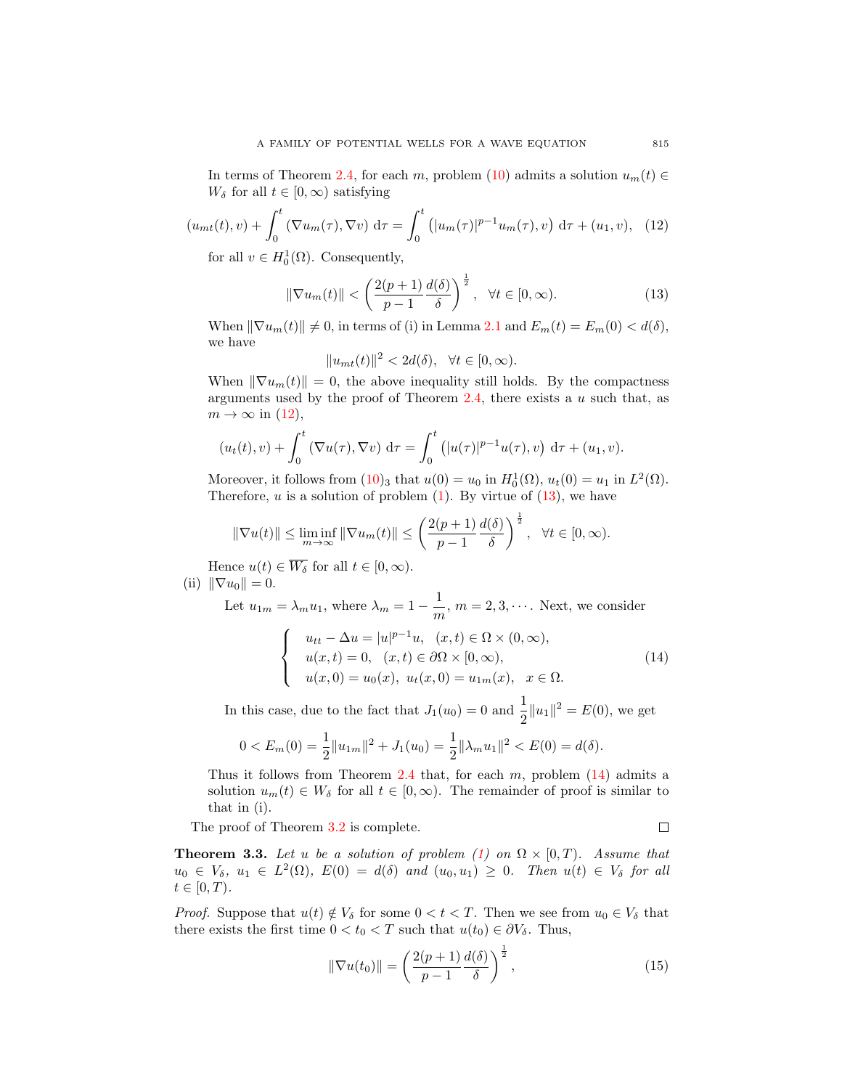In terms of Theorem [2.4,](#page-4-3) for each m, problem [\(10\)](#page-7-1) admits a solution  $u_m(t) \in$  $W_{\delta}$  for all  $t \in [0, \infty)$  satisfying

<span id="page-8-0"></span>
$$
(u_{mt}(t), v) + \int_0^t (\nabla u_m(\tau), \nabla v) d\tau = \int_0^t (|u_m(\tau)|^{p-1} u_m(\tau), v) d\tau + (u_1, v), \quad (12)
$$

for all  $v \in H_0^1(\Omega)$ . Consequently,

<span id="page-8-1"></span>
$$
\|\nabla u_m(t)\| < \left(\frac{2(p+1)}{p-1}\frac{d(\delta)}{\delta}\right)^{\frac{1}{2}}, \quad \forall t \in [0, \infty). \tag{13}
$$

When  $\|\nabla u_m(t)\| \neq 0$ , in terms of (i) in Lemma [2.1](#page-2-2) and  $E_m(t) = E_m(0) < d(\delta)$ , we have

$$
||u_{mt}(t)||^2 < 2d(\delta), \quad \forall t \in [0, \infty).
$$

When  $\|\nabla u_m(t)\| = 0$ , the above inequality still holds. By the compactness arguments used by the proof of Theorem  $2.4$ , there exists a u such that, as  $m \to \infty$  in [\(12\)](#page-8-0),

$$
(u_t(t), v) + \int_0^t (\nabla u(\tau), \nabla v) d\tau = \int_0^t (|u(\tau)|^{p-1} u(\tau), v) d\tau + (u_1, v).
$$

Moreover, it follows from  $(10)_3$  $(10)_3$  that  $u(0) = u_0$  in  $H_0^1(\Omega)$ ,  $u_t(0) = u_1$  in  $L^2(\Omega)$ . Therefore,  $u$  is a solution of problem  $(1)$ . By virtue of  $(13)$ , we have

$$
\|\nabla u(t)\| \le \liminf_{m \to \infty} \|\nabla u_m(t)\| \le \left(\frac{2(p+1)}{p-1} \frac{d(\delta)}{\delta}\right)^{\frac{1}{2}}, \ \ \forall t \in [0, \infty).
$$

Hence  $u(t) \in \overline{W_{\delta}}$  for all  $t \in [0, \infty)$ . (ii)  $\|\nabla u_0\| = 0.$ 

Let  $u_{1m} = \lambda_m u_1$ , where  $\lambda_m = 1 - \frac{1}{m}$  $\frac{1}{m}$ ,  $m = 2, 3, \cdots$ . Next, we consider

<span id="page-8-2"></span>
$$
\begin{cases}\n u_{tt} - \Delta u = |u|^{p-1}u, \quad (x, t) \in \Omega \times (0, \infty), \\
u(x, t) = 0, \quad (x, t) \in \partial\Omega \times [0, \infty), \\
u(x, 0) = u_0(x), \quad u_t(x, 0) = u_{1m}(x), \quad x \in \Omega.\n\end{cases}
$$
\n(14)

In this case, due to the fact that  $J_1(u_0) = 0$  and  $\frac{1}{2} ||u_1||^2 = E(0)$ , we get

$$
0 < E_m(0) = \frac{1}{2} ||u_{1m}||^2 + J_1(u_0) = \frac{1}{2} ||\lambda_m u_1||^2 < E(0) = d(\delta).
$$

Thus it follows from Theorem [2.4](#page-4-3) that, for each  $m$ , problem  $(14)$  admits a solution  $u_m(t) \in W_\delta$  for all  $t \in [0,\infty)$ . The remainder of proof is similar to that in (i).

The proof of Theorem [3.2](#page-7-2) is complete.

 $\Box$ 

<span id="page-8-4"></span>**Theorem 3.3.** Let u be a solution of problem [\(1\)](#page-0-0) on  $\Omega \times [0, T)$ . Assume that  $u_0 \in V_\delta$ ,  $u_1 \in L^2(\Omega)$ ,  $E(0) = d(\delta)$  and  $(u_0, u_1) \geq 0$ . Then  $u(t) \in V_\delta$  for all  $t \in [0, T)$ .

*Proof.* Suppose that  $u(t) \notin V_\delta$  for some  $0 < t < T$ . Then we see from  $u_0 \in V_\delta$  that there exists the first time  $0 < t_0 < T$  such that  $u(t_0) \in \partial V_\delta$ . Thus,

<span id="page-8-3"></span>
$$
\|\nabla u(t_0)\| = \left(\frac{2(p+1)}{p-1}\frac{d(\delta)}{\delta}\right)^{\frac{1}{2}},\tag{15}
$$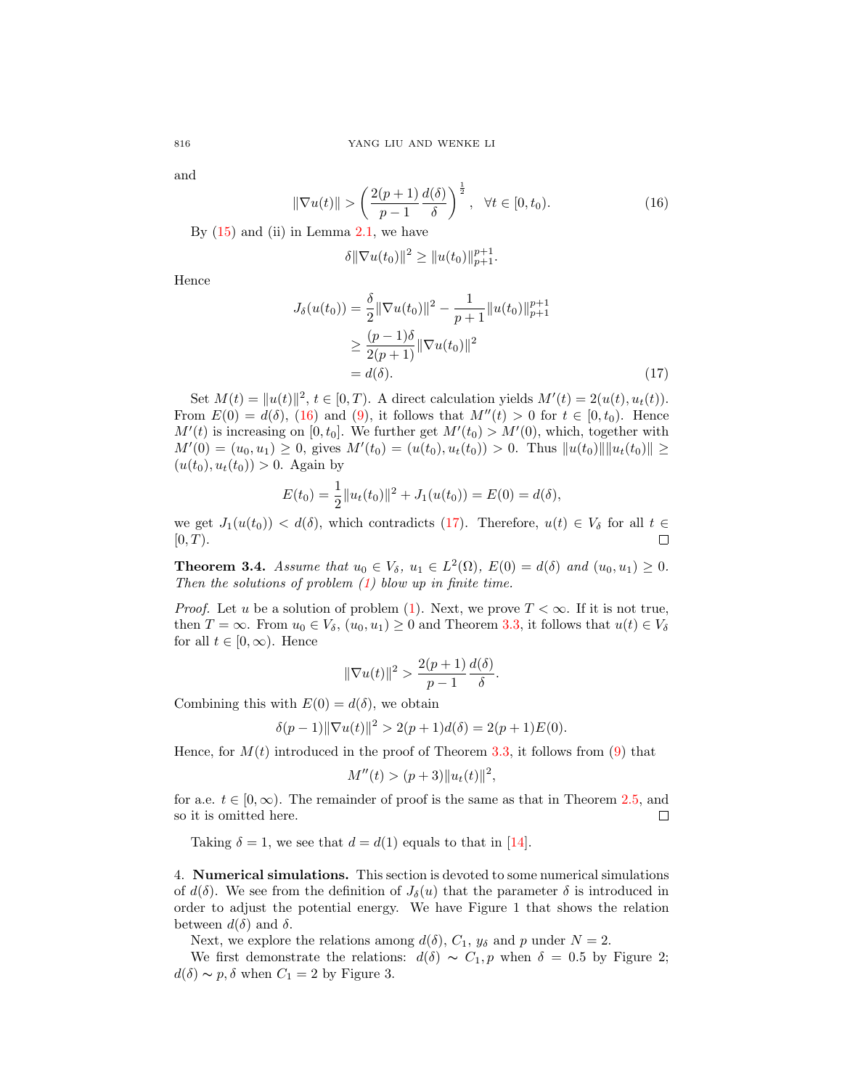and

<span id="page-9-0"></span>
$$
\|\nabla u(t)\| \ge \left(\frac{2(p+1)}{p-1}\frac{d(\delta)}{\delta}\right)^{\frac{1}{2}}, \quad \forall t \in [0, t_0).
$$
\n(16)

By  $(15)$  and  $(ii)$  in Lemma [2.1,](#page-2-2) we have

<span id="page-9-1"></span>
$$
\delta \|\nabla u(t_0)\|^2 \ge \|u(t_0)\|_{p+1}^{p+1}.
$$

Hence

$$
J_{\delta}(u(t_0)) = \frac{\delta}{2} \|\nabla u(t_0)\|^2 - \frac{1}{p+1} \|u(t_0)\|_{p+1}^{p+1}
$$
  
\n
$$
\geq \frac{(p-1)\delta}{2(p+1)} \|\nabla u(t_0)\|^2
$$
  
\n
$$
= d(\delta). \tag{17}
$$

Set  $M(t) = ||u(t)||^2$ ,  $t \in [0, T)$ . A direct calculation yields  $M'(t) = 2(u(t), u_t(t))$ . From  $E(0) = d(\delta)$ , [\(16\)](#page-9-0) and [\(9\)](#page-6-0), it follows that  $M''(t) > 0$  for  $t \in [0, t_0)$ . Hence  $M'(t)$  is increasing on [0,  $t_0$ ]. We further get  $M'(t_0) > M'(0)$ , which, together with  $M'(0) = (u_0, u_1) \geq 0$ , gives  $M'(t_0) = (u(t_0), u_t(t_0)) > 0$ . Thus  $||u(t_0)|| ||u_t(t_0)|| \geq$  $(u(t_0), u_t(t_0)) > 0$ . Again by

$$
E(t_0) = \frac{1}{2} ||u_t(t_0)||^2 + J_1(u(t_0)) = E(0) = d(\delta),
$$

we get  $J_1(u(t_0)) < d(\delta)$ , which contradicts [\(17\)](#page-9-1). Therefore,  $u(t) \in V_\delta$  for all  $t \in$  $[0, T)$ . П

**Theorem 3.4.** Assume that  $u_0 \in V_\delta$ ,  $u_1 \in L^2(\Omega)$ ,  $E(0) = d(\delta)$  and  $(u_0, u_1) \geq 0$ . Then the solutions of problem  $(1)$  blow up in finite time.

*Proof.* Let u be a solution of problem [\(1\)](#page-0-0). Next, we prove  $T < \infty$ . If it is not true, then  $T = \infty$ . From  $u_0 \in V_\delta$ ,  $(u_0, u_1) \geq 0$  and Theorem [3.3,](#page-8-4) it follows that  $u(t) \in V_\delta$ for all  $t \in [0, \infty)$ . Hence

$$
\|\nabla u(t)\|^2 > \frac{2(p+1)}{p-1}\frac{d(\delta)}{\delta}.
$$

Combining this with  $E(0) = d(\delta)$ , we obtain

$$
\delta(p-1) \|\nabla u(t)\|^2 > 2(p+1)d(\delta) = 2(p+1)E(0).
$$

Hence, for  $M(t)$  introduced in the proof of Theorem [3.3,](#page-8-4) it follows from [\(9\)](#page-6-0) that

$$
M''(t) > (p+3)||u_t(t)||^2,
$$

for a.e.  $t \in [0, \infty)$ . The remainder of proof is the same as that in Theorem [2.5,](#page-6-1) and so it is omitted here.  $\Box$ 

Taking  $\delta = 1$ , we see that  $d = d(1)$  equals to that in [\[14\]](#page-12-1).

4. Numerical simulations. This section is devoted to some numerical simulations of  $d(\delta)$ . We see from the definition of  $J_{\delta}(u)$  that the parameter  $\delta$  is introduced in order to adjust the potential energy. We have Figure 1 that shows the relation between  $d(\delta)$  and  $\delta$ .

Next, we explore the relations among  $d(\delta)$ ,  $C_1$ ,  $y_\delta$  and p under  $N = 2$ .

We first demonstrate the relations:  $d(\delta) \sim C_1, p$  when  $\delta = 0.5$  by Figure 2;  $d(\delta) \sim p, \delta$  when  $C_1 = 2$  by Figure 3.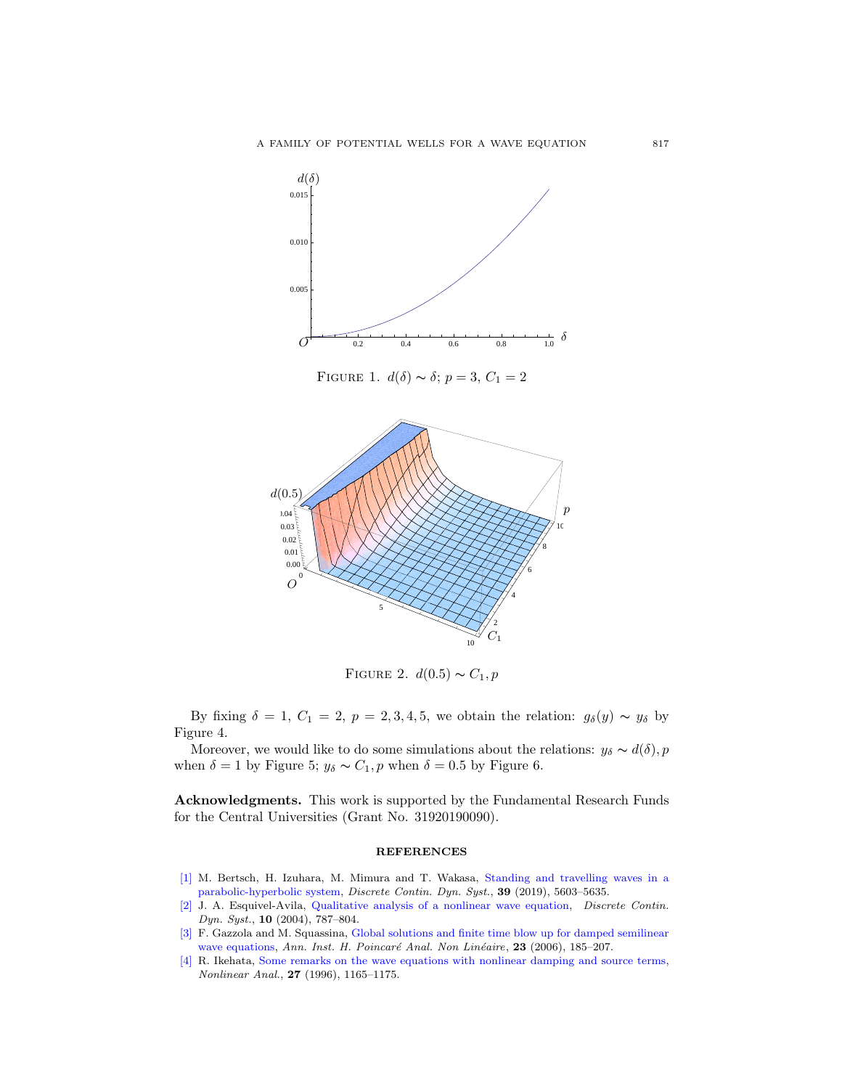

FIGURE 1.  $d(\delta) \sim \delta$ ;  $p = 3, C_1 = 2$ 



FIGURE 2.  $d(0.5) \sim C_1, p$ 

By fixing  $\delta = 1, C_1 = 2, p = 2, 3, 4, 5$ , we obtain the relation:  $g_{\delta}(y) \sim y_{\delta}$  by Figure 4.

Moreover, we would like to do some simulations about the relations:  $y_\delta \sim d(\delta)$ , p when  $\delta = 1$  by Figure 5;  $y_{\delta} \sim C_1$ , p when  $\delta = 0.5$  by Figure 6.

Acknowledgments. This work is supported by the Fundamental Research Funds for the Central Universities (Grant No. 31920190090).

### **REFERENCES**

- <span id="page-10-3"></span>[\[1\]](http://www.ams.org/mathscinet-getitem?mr=MR4027004&return=pdf) M. Bertsch, H. Izuhara, M. Mimura and T. Wakasa, [Standing and travelling waves in a](http://dx.doi.org/10.3934/dcds.2019246) [parabolic-hyperbolic system,](http://dx.doi.org/10.3934/dcds.2019246) Discrete Contin. Dyn. Syst., 39 (2019), 5603–5635.
- <span id="page-10-0"></span>[\[2\]](http://www.ams.org/mathscinet-getitem?mr=MR2018880&return=pdf) J. A. Esquivel-Avila, [Qualitative analysis of a nonlinear wave equation,](http://dx.doi.org/10.3934/dcds.2004.10.787) Discrete Contin. Dyn. Syst., 10 (2004), 787–804.
- <span id="page-10-1"></span>[\[3\]](http://www.ams.org/mathscinet-getitem?mr=MR2201151&return=pdf) F. Gazzola and M. Squassina, [Global solutions and finite time blow up for damped semilinear](http://dx.doi.org/10.1016/j.anihpc.2005.02.007) [wave equations,](http://dx.doi.org/10.1016/j.anihpc.2005.02.007) Ann. Inst. H. Poincaré Anal. Non Linéaire, 23 (2006), 185-207.
- <span id="page-10-2"></span>[\[4\]](http://www.ams.org/mathscinet-getitem?mr=MR1407454&return=pdf) R. Ikehata, [Some remarks on the wave equations with nonlinear damping and source terms,](http://dx.doi.org/10.1016/0362-546X(95)00119-G) Nonlinear Anal., 27 (1996), 1165–1175.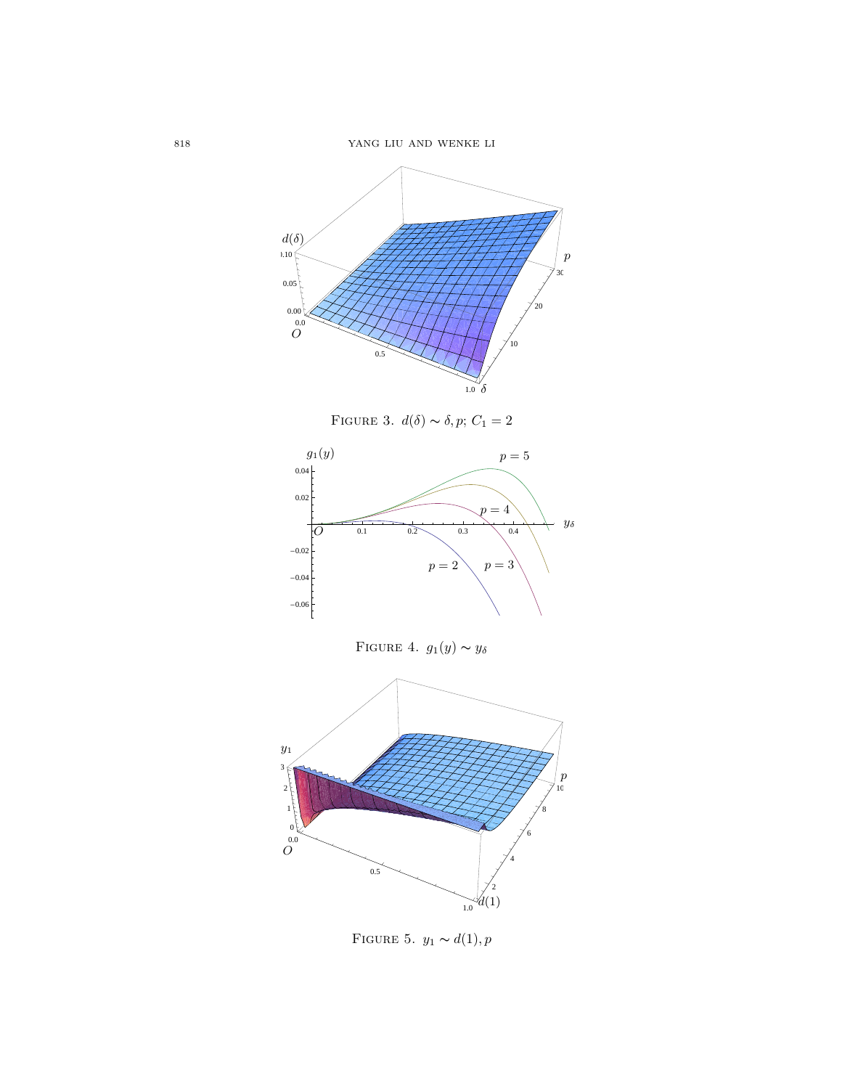

FIGURE 3.  $d(\delta) \thicksim \delta, p; \, C_1 = 2$ 



FIGURE 4.  $g_1(y) \sim y_\delta$ 



<span id="page-11-0"></span>FIGURE 5.  $y_1 \thicksim d(1), p$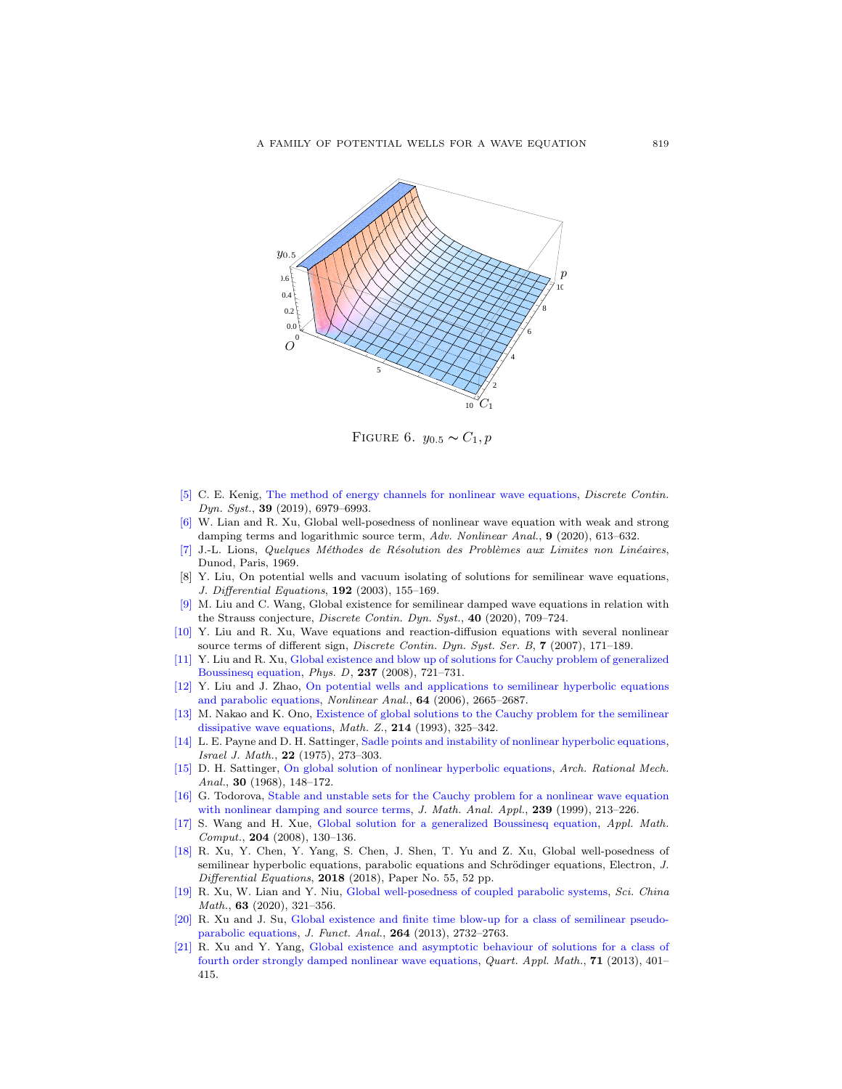

FIGURE 6.  $y_{0.5} \sim C_1, p$ 

- [\[5\]](http://www.ams.org/mathscinet-getitem?mr=MR4026177&return=pdf) C. E. Kenig, [The method of energy channels for nonlinear wave equations,](http://dx.doi.org/10.3934/dcds.2019240) Discrete Contin. Dyn. Syst., 39 (2019), 6979–6993.
- <span id="page-12-2"></span>[\[6\]](http://www.ams.org/mathscinet-getitem?mr=MR3980417&return=pdf) W. Lian and R. Xu, Global well-posedness of nonlinear wave equation with weak and strong damping terms and logarithmic source term, Adv. Nonlinear Anal., 9 (2020), 613–632.
- <span id="page-12-15"></span>[\[7\]](http://www.ams.org/mathscinet-getitem?mr=MR0259693&return=pdf) J.-L. Lions, Quelques M´ethodes de R´esolution des Probl`emes aux Limites non Lin´eaires, Dunod, Paris, 1969.
- <span id="page-12-6"></span>[8] Y. Liu, On potential wells and vacuum isolating of solutions for semilinear wave equations, J. Differential Equations, 192 (2003), 155–169.
- <span id="page-12-13"></span>[\[9\]](http://www.ams.org/mathscinet-getitem?mr=MR4043653&return=pdf) M. Liu and C. Wang, Global existence for semilinear damped wave equations in relation with the Strauss conjecture, Discrete Contin. Dyn. Syst., 40 (2020), 709-724.
- <span id="page-12-14"></span>[\[10\]](http://www.ams.org/mathscinet-getitem?mr=MR2257457&return=pdf) Y. Liu and R. Xu, Wave equations and reaction-diffusion equations with several nonlinear source terms of different sign, *Discrete Contin. Dyn. Syst. Ser. B*, **7** (2007), 171–189.
- <span id="page-12-8"></span>[\[11\]](http://www.ams.org/mathscinet-getitem?mr=MR2452163&return=pdf) Y. Liu and R. Xu, [Global existence and blow up of solutions for Cauchy problem of generalized](http://dx.doi.org/10.1016/j.physd.2007.09.028) [Boussinesq equation,](http://dx.doi.org/10.1016/j.physd.2007.09.028) Phys. D, 237 (2008), 721–731.
- <span id="page-12-7"></span>[\[12\]](http://www.ams.org/mathscinet-getitem?mr=MR2218541&return=pdf) Y. Liu and J. Zhao, [On potential wells and applications to semilinear hyperbolic equations](http://dx.doi.org/10.1016/j.na.2005.09.011) [and parabolic equations,](http://dx.doi.org/10.1016/j.na.2005.09.011) Nonlinear Anal., 64 (2006), 2665–2687.
- <span id="page-12-3"></span>[\[13\]](http://www.ams.org/mathscinet-getitem?mr=MR1240892&return=pdf) M. Nakao and K. Ono, [Existence of global solutions to the Cauchy problem for the semilinear](http://dx.doi.org/10.1007/BF02572407) [dissipative wave equations,](http://dx.doi.org/10.1007/BF02572407) Math. Z., 214 (1993), 325–342.
- <span id="page-12-1"></span>[\[14\]](http://www.ams.org/mathscinet-getitem?mr=MR402291&return=pdf) L. E. Payne and D. H. Sattinger, [Sadle points and instability of nonlinear hyperbolic equations,](http://dx.doi.org/10.1007/BF02761595) Israel J. Math., 22 (1975), 273–303.
- <span id="page-12-0"></span>[\[15\]](http://www.ams.org/mathscinet-getitem?mr=MR227616&return=pdf) D. H. Sattinger, [On global solution of nonlinear hyperbolic equations,](http://dx.doi.org/10.1007/BF00250942) Arch. Rational Mech. Anal., 30 (1968), 148–172.
- <span id="page-12-4"></span>[\[16\]](http://www.ams.org/mathscinet-getitem?mr=MR1723057&return=pdf) G. Todorova, [Stable and unstable sets for the Cauchy problem for a nonlinear wave equation](http://dx.doi.org/10.1006/jmaa.1999.6528) [with nonlinear damping and source terms,](http://dx.doi.org/10.1006/jmaa.1999.6528) J. Math. Anal. Appl., 239 (1999), 213-226.
- <span id="page-12-12"></span>[\[17\]](http://www.ams.org/mathscinet-getitem?mr=MR2458348&return=pdf) S. Wang and H. Xue, [Global solution for a generalized Boussinesq equation,](http://dx.doi.org/10.1016/j.amc.2008.06.059) Appl. Math. Comput., 204 (2008), 130–136.
- <span id="page-12-5"></span>[\[18\]](http://www.ams.org/mathscinet-getitem?mr=MR3781170&return=pdf) R. Xu, Y. Chen, Y. Yang, S. Chen, J. Shen, T. Yu and Z. Xu, Global well-posedness of semilinear hyperbolic equations, parabolic equations and Schrödinger equations, Electron, J. Differential Equations,  $2018$  (2018), Paper No. 55, 52 pp.
- <span id="page-12-9"></span>[\[19\]](http://www.ams.org/mathscinet-getitem?mr=MR4056951&return=pdf) R. Xu, W. Lian and Y. Niu, [Global well-posedness of coupled parabolic systems,](http://dx.doi.org/10.1007/s11425-017-9280-x) Sci. China Math., **63** (2020), 321-356.
- <span id="page-12-10"></span>[\[20\]](http://www.ams.org/mathscinet-getitem?mr=MR3045640&return=pdf) R. Xu and J. Su, [Global existence and finite time blow-up for a class of semilinear pseudo](http://dx.doi.org/10.1016/j.jfa.2013.03.010)[parabolic equations,](http://dx.doi.org/10.1016/j.jfa.2013.03.010) J. Funct. Anal., 264 (2013), 2732–2763.
- <span id="page-12-11"></span>[\[21\]](http://www.ams.org/mathscinet-getitem?mr=MR3112820&return=pdf) R. Xu and Y. Yang, [Global existence and asymptotic behaviour of solutions for a class of](http://dx.doi.org/10.1090/S0033-569X-2012-01295-6) [fourth order strongly damped nonlinear wave equations,](http://dx.doi.org/10.1090/S0033-569X-2012-01295-6) Quart. Appl. Math., 71 (2013), 401– 415.